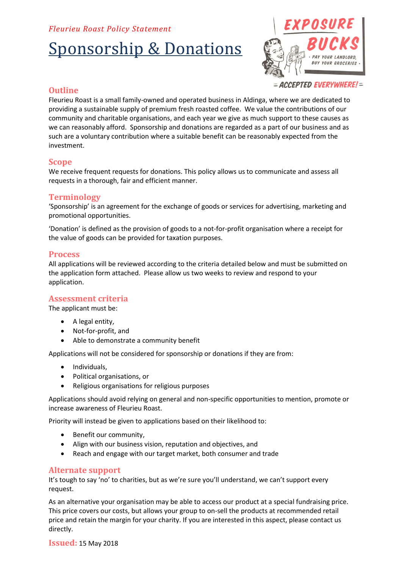# *Fleurieu Roast Policy Statement*

# Sponsorship & Donations



# **Outline**

Fleurieu Roast is a small family-owned and operated business in Aldinga, where we are dedicated to providing a sustainable supply of premium fresh roasted coffee. We value the contributions of our community and charitable organisations, and each year we give as much support to these causes as we can reasonably afford. Sponsorship and donations are regarded as a part of our business and as such are a voluntary contribution where a suitable benefit can be reasonably expected from the investment.

## **Scope**

We receive frequent requests for donations. This policy allows us to communicate and assess all requests in a thorough, fair and efficient manner.

# **Terminology**

'Sponsorship' is an agreement for the exchange of goods or services for advertising, marketing and promotional opportunities.

'Donation' is defined as the provision of goods to a not-for-profit organisation where a receipt for the value of goods can be provided for taxation purposes.

## **Process**

All applications will be reviewed according to the criteria detailed below and must be submitted on the application form attached. Please allow us two weeks to review and respond to your application.

## **Assessment criteria**

The applicant must be:

- A legal entity,
- Not-for-profit, and
- Able to demonstrate a community benefit

Applications will not be considered for sponsorship or donations if they are from:

- Individuals,
- Political organisations, or
- Religious organisations for religious purposes

Applications should avoid relying on general and non-specific opportunities to mention, promote or increase awareness of Fleurieu Roast.

Priority will instead be given to applications based on their likelihood to:

- Benefit our community.
- Align with our business vision, reputation and objectives, and
- Reach and engage with our target market, both consumer and trade

## **Alternate support**

It's tough to say 'no' to charities, but as we're sure you'll understand, we can't support every request.

As an alternative your organisation may be able to access our product at a special fundraising price. This price covers our costs, but allows your group to on-sell the products at recommended retail price and retain the margin for your charity. If you are interested in this aspect, please contact us directly.

**Issued:** 15 May 2018